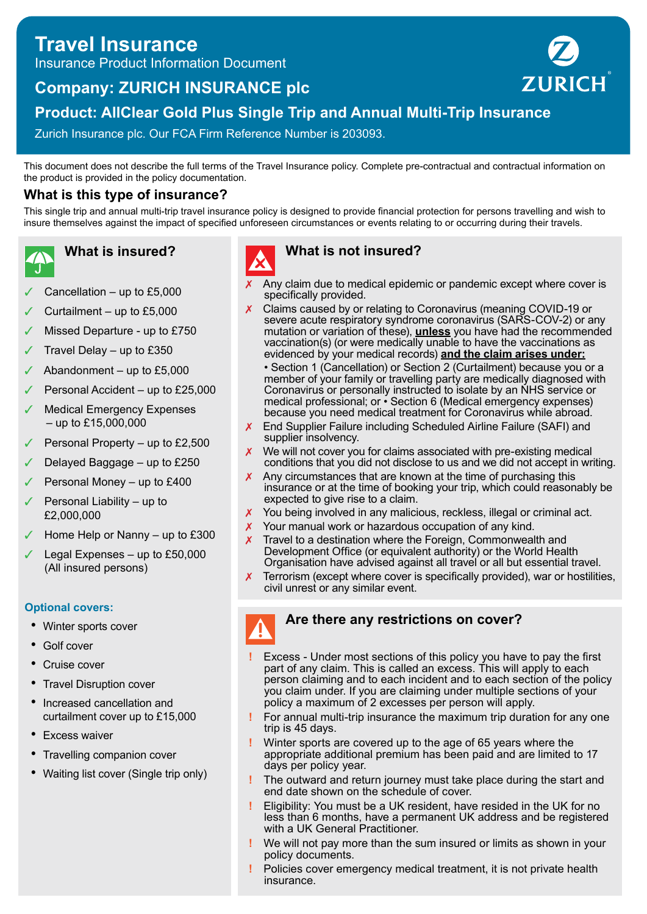# **Travel Insurance**

Insurance Product Information Document

# **Company: ZURICH INSURANCE plc**



# **Product: AllClear Gold Plus Single Trip and Annual Multi-Trip Insurance**

Zurich Insurance plc. Our FCA Firm Reference Number is 203093.

This document does not describe the full terms of the Travel Insurance policy. Complete pre-contractual and contractual information on the product is provided in the policy documentation.

# **What is this type of insurance?**

This single trip and annual multi-trip travel insurance policy is designed to provide financial protection for persons travelling and wish to insure themselves against the impact of specified unforeseen circumstances or events relating to or occurring during their travels.

# **What is insured?**

- Cancellation up to  $£5,000$
- ✓ Curtailment up to £5,000
- Missed Departure up to £750
- Travel Delay up to  $£350$
- Abandonment up to  $£5,000$
- Personal Accident up to £25,000
- **Medical Emergency Expenses** – up to £15,000,000
- Personal Property up to  $£2,500$
- ✓ Delayed Baggage up to £250
- Personal Money up to £400
- Personal Liability up to £2,000,000
- Home Help or Nanny up to  $£300$
- Legal Expenses up to  $£50,000$ (All insured persons)

# **Optional covers:**

- Winter sports cover
- Golf cover
- Cruise cover
- **Travel Disruption cover**
- Increased cancellation and curtailment cover up to £15,000
- **Excess waiver**
- Travelling companion cover
- Waiting list cover (Single trip only)



# **What is not insured?**

- Any claim due to medical epidemic or pandemic except where cover is specifically provided.
- $\chi$  Claims caused by or relating to Coronavirus (meaning COVID-19 or severe acute respiratory syndrome coronavirus (SARS-COV-2) or any mutation or variation of these), **unless** you have had the recommended vaccination(s) (or were medically unable to have the vaccinations as evidenced by your medical records) **and the claim arises under:**
	- Section 1 (Cancellation) or Section 2 (Curtailment) because you or a member of your family or travelling party are medically diagnosed with Coronavirus or personally instructed to isolate by an NHS service or medical professional; or • Section 6 (Medical emergency expenses) because you need medical treatment for Coronavirus while abroad.
- X End Supplier Failure including Scheduled Airline Failure (SAFI) and supplier insolvency.
- $\boldsymbol{X}$  We will not cover you for claims associated with pre-existing medical conditions that you did not disclose to us and we did not accept in writing.
- $\chi$  Any circumstances that are known at the time of purchasing this insurance or at the time of booking your trip, which could reasonably be expected to give rise to a claim.
- **X** You being involved in any malicious, reckless, illegal or criminal act.
- X Your manual work or hazardous occupation of any kind.
- Travel to a destination where the Foreign, Commonwealth and Development Office (or equivalent authority) or the World Health Organisation have advised against all travel or all but essential travel.
- $\chi$  Terrorism (except where cover is specifically provided), war or hostilities, civil unrest or any similar event.



# **Are there any restrictions on cover?**

- **!** Excess Under most sections of this policy you have to pay the first part of any claim. This is called an excess. This will apply to each person claiming and to each incident and to each section of the policy you claim under. If you are claiming under multiple sections of your policy a maximum of 2 excesses per person will apply.
- **!** For annual multi-trip insurance the maximum trip duration for any one trip is 45 days.
- **!** Winter sports are covered up to the age of 65 years where the appropriate additional premium has been paid and are limited to 17 days per policy year.
- **!** The outward and return journey must take place during the start and end date shown on the schedule of cover.
- **!** Eligibility: You must be a UK resident, have resided in the UK for no less than 6 months, have a permanent UK address and be registered with a UK General Practitioner.
- **!** We will not pay more than the sum insured or limits as shown in your policy documents.
- **!** Policies cover emergency medical treatment, it is not private health insurance.